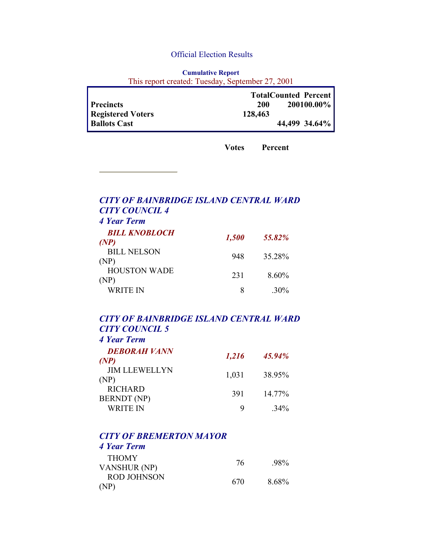#### Official Election Results

| <b>Cumulative Report</b>                         |  |  |
|--------------------------------------------------|--|--|
| This report created: Tuesday, September 27, 2001 |  |  |

|                          | <b>TotalCounted Percent</b> |               |
|--------------------------|-----------------------------|---------------|
| <b>Precincts</b>         | 200                         | 200100.00%    |
| <b>Registered Voters</b> | 128,463                     |               |
| <b>Ballots Cast</b>      |                             | 44,499 34.64% |

**Votes Percent**

# *CITY OF BAINBRIDGE ISLAND CENTRAL WARD CITY COUNCIL 4 4 Year Term BILL KNOBLOCH CODECTE 1,500* 55.82% BILL NELSON SEE NEESON 948 35.28% HOUSTON WADE  $(NP)$  231 8.60% WRITE IN 8 .30%

#### *CITY OF BAINBRIDGE ISLAND CENTRAL WARD CITY COUNCIL 5 4 Year Term*

| <b>DEBORAH VANN</b><br>(P <sup>NP</sup> ) | 1,216 | 45.94% |
|-------------------------------------------|-------|--------|
| <b>JIM LLEWELLYN</b><br>(NP)              | 1,031 | 38.95% |
| <b>RICHARD</b><br><b>BERNDT</b> (NP)      | 391   | 14.77% |
| <b>WRITE IN</b>                           | Q     | $34\%$ |

# *CITY OF BREMERTON MAYOR*

# *4 Year Term*

| <b>THOMY</b>       | 76  | .98%  |
|--------------------|-----|-------|
| VANSHUR (NP)       |     |       |
| <b>ROD JOHNSON</b> | 670 | 8.68% |
| (NP)               |     |       |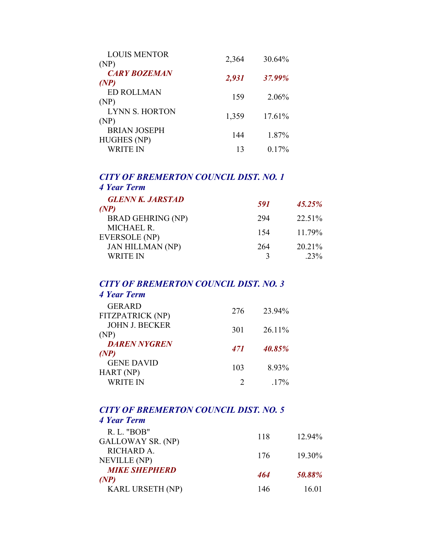| <b>LOUIS MENTOR</b>                       | 2,364 | 30.64%   |
|-------------------------------------------|-------|----------|
| (NP)                                      |       |          |
| <b>CARY BOZEMAN</b><br>(NP)               | 2,931 | 37.99%   |
| <b>ED ROLLMAN</b><br>(NP)                 | 159   | 2.06%    |
| LYNN S. HORTON<br>(NP)                    | 1,359 | 17.61%   |
| <b>BRIAN JOSEPH</b><br><b>HUGHES</b> (NP) | 144   | 1.87%    |
| WRITE IN                                  | 13    | $0.17\%$ |

### *CITY OF BREMERTON COUNCIL DIST. NO. 1 4 Year Term*

| <b>GLENN K. JARSTAD</b><br>(P <sup>NP</sup> ) | 591 | 45.25% |
|-----------------------------------------------|-----|--------|
| <b>BRAD GEHRING (NP)</b>                      | 294 | 22.51% |
| <b>MICHAEL R.</b><br>EVERSOLE (NP)            | 154 | 11 79% |
| <b>JAN HILLMAN (NP)</b>                       | 264 | 20.21% |
| <b>WRITE IN</b>                               |     | 23%    |

#### *CITY OF BREMERTON COUNCIL DIST. NO. 3 4 Year Term*

| <b>GERARD</b><br>FITZPATRICK (NP) | 276                         | 23.94%  |
|-----------------------------------|-----------------------------|---------|
| <b>JOHN J. BECKER</b><br>(NP)     | 301                         | 26.11%  |
| <b>DAREN NYGREN</b><br>(NP)       | 471                         | 40.85%  |
| <b>GENE DAVID</b><br>HART (NP)    | 103                         | 8.93%   |
| <b>WRITE IN</b>                   | $\mathcal{D}_{\mathcal{L}}$ | $.17\%$ |

# *CITY OF BREMERTON COUNCIL DIST. NO. 5*

| 4 Year Term                      |     |        |
|----------------------------------|-----|--------|
| R. L. "BOB"<br>GALLOWAY SR. (NP) | 118 | 12.94% |
| RICHARD A.<br>NEVILLE (NP)       | 176 | 19.30% |
| <b>MIKE SHEPHERD</b><br>(NP)     | 464 | 50.88% |
| <b>KARL URSETH (NP)</b>          | 146 | 16.01  |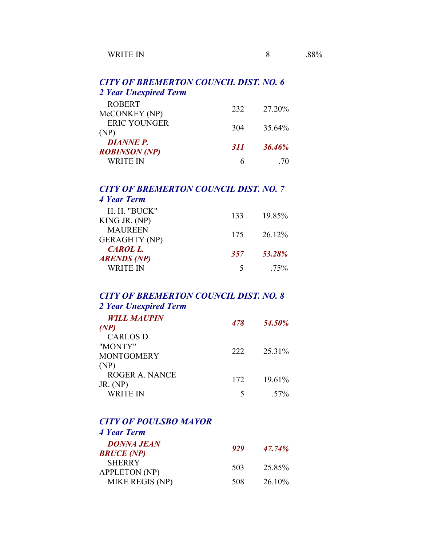# *CITY OF BREMERTON COUNCIL DIST. NO. 6 2 Year Unexpired Term*

| <b>ROBERT</b><br>McCONKEY (NP)           | 232 | 27.20%        |
|------------------------------------------|-----|---------------|
| <b>ERIC YOUNGER</b><br>(NP)              | 304 | 35.64%        |
| <b>DIANNE P.</b><br><b>ROBINSON</b> (NP) | 311 | <b>36.46%</b> |
| WRITE IN                                 |     | 70            |

#### *CITY OF BREMERTON COUNCIL DIST. NO. 7 4 Year Term*

| H. H. "BUCK"<br>KING JR. (NP)          | 133 | 19.85% |
|----------------------------------------|-----|--------|
| <b>MAUREEN</b><br><b>GERAGHTY (NP)</b> | 175 | 26.12% |
| <b>CAROL L.</b><br>ARENDS (NP)         | 357 | 53.28% |
| <b>WRITE IN</b>                        | 5   | 75%    |

# *CITY OF BREMERTON COUNCIL DIST. NO. 8 2 Year Unexpired Term*

| <b>WILL MAUPIN</b> | 478 | 54.50%          |
|--------------------|-----|-----------------|
| (P <sup>NP</sup> ) |     |                 |
| CARLOS D.          |     |                 |
| "MONTY"            |     | 25.31%          |
| <b>MONTGOMERY</b>  | 222 |                 |
| (NP)               |     |                 |
| ROGER A NANCE      | 172 | 19.61%          |
| JR. $(NP)$         |     |                 |
| <b>WRITE IN</b>    |     | 57 <sub>%</sub> |
|                    |     |                 |

### *CITY OF POULSBO MAYOR 4 Year Term*

| <b>DONNA JEAN</b><br><b>BRUCE (NP)</b> | 929 | 47.74%    |
|----------------------------------------|-----|-----------|
| <b>SHERRY</b><br><b>APPLETON (NP)</b>  | 503 | 25 85%    |
| MIKE REGIS (NP)                        | 508 | $26.10\%$ |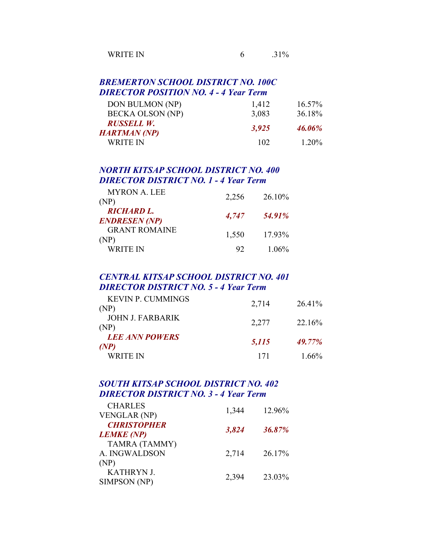| WRITE IN |  |
|----------|--|
|----------|--|

### *BREMERTON SCHOOL DISTRICT NO. 100C DIRECTOR POSITION NO. 4 - 4 Year Term*

| DON BULMON (NP)                   | 1,412 | $16.57\%$ |
|-----------------------------------|-------|-----------|
| <b>BECKA OLSON (NP)</b>           | 3,083 | 36.18%    |
| RUSSELL W.<br><b>HARTMAN (NP)</b> | 3,925 | 46.06%    |
| WRITE IN                          | 102   | 120%      |

### *NORTH KITSAP SCHOOL DISTRICT NO. 400 DIRECTOR DISTRICT NO. 1 - 4 Year Term*

| <b>MYRON A. LEE</b>                       | 2,256 | 26.10%   |
|-------------------------------------------|-------|----------|
| (NP)                                      |       |          |
| <b>RICHARD L.</b><br><b>ENDRESEN (NP)</b> | 4,747 | 54.91%   |
| <b>GRANT ROMAINE</b><br>(NP)              | 1,550 | 17.93%   |
| WRITE IN                                  | 92    | $1.06\%$ |

### *CENTRAL KITSAP SCHOOL DISTRICT NO. 401 DIRECTOR DISTRICT NO. 5 - 4 Year Term*

| <b>KEVIN P. CUMMINGS</b>                    |       |          |
|---------------------------------------------|-------|----------|
| (NP)                                        | 2,714 | 26.41%   |
| <b>JOHN J. FARBARIK</b><br>(NP)             | 2,277 | 22.16%   |
| <b>LEE ANN POWERS</b><br>(P <sup>NP</sup> ) | 5,115 | 49.77%   |
| WRITE IN                                    | 171   | $1.66\%$ |

# *SOUTH KITSAP SCHOOL DISTRICT NO. 402 DIRECTOR DISTRICT NO. 3 - 4 Year Term*

| 1,344 | 12.96% |
|-------|--------|
| 3,824 | 36.87% |
| 2,714 | 26.17% |
| 2,394 | 23.03% |
|       |        |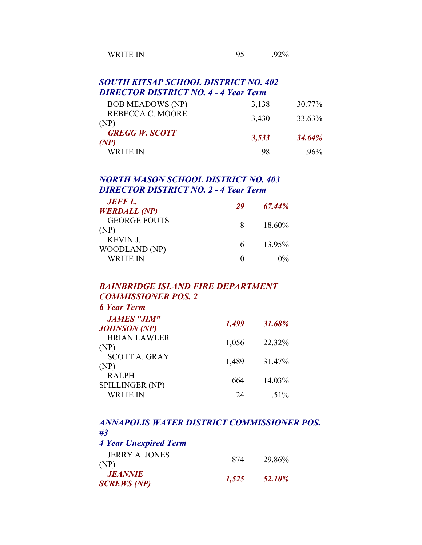| ົາ∩∩∞<br>$\mathbf{u}$ |
|-----------------------|
|                       |

# *SOUTH KITSAP SCHOOL DISTRICT NO. 402 DIRECTOR DISTRICT NO. 4 - 4 Year Term*

| <b>BOB MEADOWS (NP)</b>       | 3,138 | 30.77%             |
|-------------------------------|-------|--------------------|
| REBECCA C. MOORE<br>(NP)      | 3,430 | 33.63%             |
| <b>GREGG W. SCOTT</b><br>(NP) | 3,533 | 34.64 <sup>%</sup> |
| WRITE IN                      | 98    | $96\%$             |

# *NORTH MASON SCHOOL DISTRICT NO. 403 DIRECTOR DISTRICT NO. 2 - 4 Year Term*

| <b>JEFF L.</b><br><b>WERDALL (NP)</b> | 29 | 67.44% |
|---------------------------------------|----|--------|
| <b>GEORGE FOUTS</b><br>(NP)           | x  | 18.60% |
| <b>KEVIN J.</b><br>WOODLAND (NP)      | 6. | 1395%  |
| WRITE IN                              |    | $10\%$ |

#### *BAINBRIDGE ISLAND FIRE DEPARTMENT COMMISSIONER POS. 2 6 Year Term*

| 1,499 | 31.68%  |
|-------|---------|
| 1,056 | 22.32%  |
| 1,489 | 31.47%  |
| 664   | 14.03%  |
| 24    | $.51\%$ |
|       |         |

| ANNAPOLIS WATER DISTRICT COMMISSIONER POS. |       |               |
|--------------------------------------------|-------|---------------|
| #3                                         |       |               |
| <b>4 Year Unexpired Term</b>               |       |               |
| JERRY A JONES<br>(NP)                      | 874   | 29 86%        |
| <b>JEANNIE</b><br><b>SCREWS</b> (NP)       | 1,525 | <b>52.10%</b> |